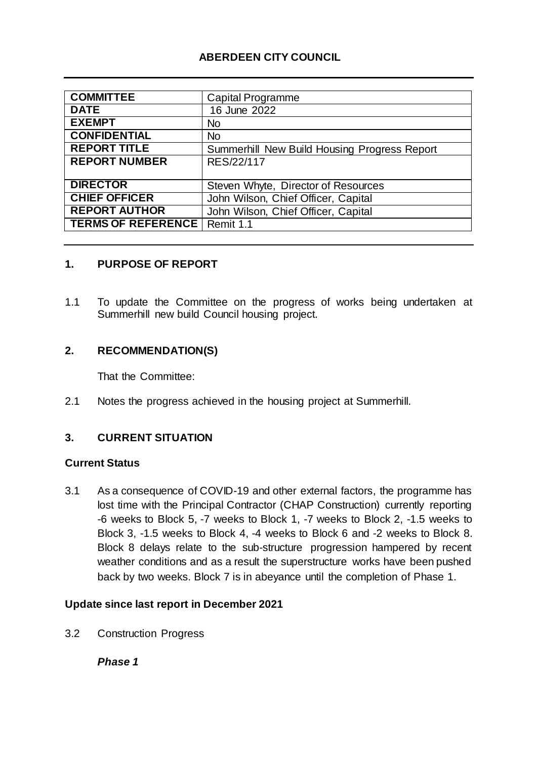# **ABERDEEN CITY COUNCIL**

| <b>COMMITTEE</b>          | Capital Programme                            |
|---------------------------|----------------------------------------------|
| <b>DATE</b>               | 16 June 2022                                 |
| <b>EXEMPT</b>             | <b>No</b>                                    |
| <b>CONFIDENTIAL</b>       | <b>No</b>                                    |
| <b>REPORT TITLE</b>       | Summerhill New Build Housing Progress Report |
| <b>REPORT NUMBER</b>      | RES/22/117                                   |
|                           |                                              |
| <b>DIRECTOR</b>           | Steven Whyte, Director of Resources          |
| <b>CHIEF OFFICER</b>      | John Wilson, Chief Officer, Capital          |
| <b>REPORT AUTHOR</b>      | John Wilson, Chief Officer, Capital          |
| <b>TERMS OF REFERENCE</b> | Remit 1.1                                    |

#### **1. PURPOSE OF REPORT**

1.1 To update the Committee on the progress of works being undertaken at Summerhill new build Council housing project.

#### **2. RECOMMENDATION(S)**

That the Committee:

2.1 Notes the progress achieved in the housing project at Summerhill.

#### **3. CURRENT SITUATION**

#### **Current Status**

3.1 As a consequence of COVID-19 and other external factors, the programme has lost time with the Principal Contractor (CHAP Construction) currently reporting -6 weeks to Block 5, -7 weeks to Block 1, -7 weeks to Block 2, -1.5 weeks to Block 3, -1.5 weeks to Block 4, -4 weeks to Block 6 and -2 weeks to Block 8. Block 8 delays relate to the sub-structure progression hampered by recent weather conditions and as a result the superstructure works have been pushed back by two weeks. Block 7 is in abeyance until the completion of Phase 1.

#### **Update since last report in December 2021**

3.2 Construction Progress

*Phase 1*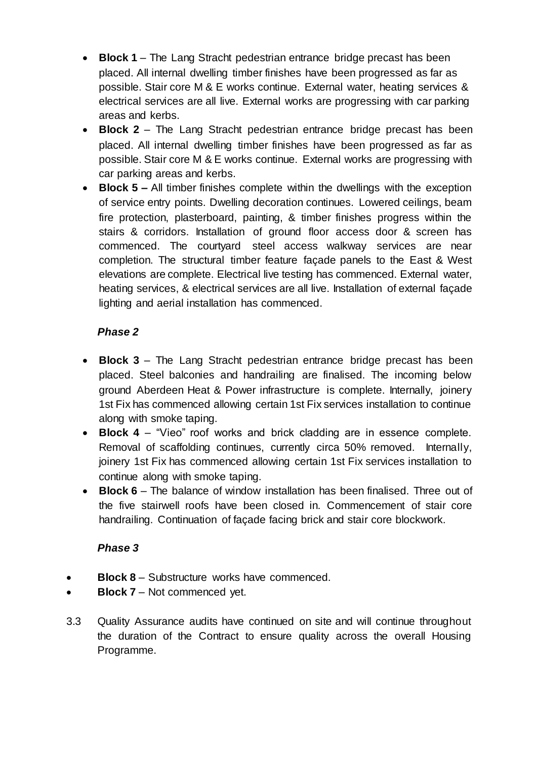- **Block 1** The Lang Stracht pedestrian entrance bridge precast has been placed. All internal dwelling timber finishes have been progressed as far as possible. Stair core M & E works continue. External water, heating services & electrical services are all live. External works are progressing with car parking areas and kerbs.
- **Block 2** The Lang Stracht pedestrian entrance bridge precast has been placed. All internal dwelling timber finishes have been progressed as far as possible. Stair core M & E works continue. External works are progressing with car parking areas and kerbs.
- **Block 5 –** All timber finishes complete within the dwellings with the exception of service entry points. Dwelling decoration continues. Lowered ceilings, beam fire protection, plasterboard, painting, & timber finishes progress within the stairs & corridors. Installation of ground floor access door & screen has commenced. The courtyard steel access walkway services are near completion. The structural timber feature façade panels to the East & West elevations are complete. Electrical live testing has commenced. External water, heating services, & electrical services are all live. Installation of external façade lighting and aerial installation has commenced.

# *Phase 2*

- **Block 3** The Lang Stracht pedestrian entrance bridge precast has been placed. Steel balconies and handrailing are finalised. The incoming below ground Aberdeen Heat & Power infrastructure is complete. Internally, joinery 1st Fix has commenced allowing certain 1st Fix services installation to continue along with smoke taping.
- **Block 4** "Vieo" roof works and brick cladding are in essence complete. Removal of scaffolding continues, currently circa 50% removed. Internally, joinery 1st Fix has commenced allowing certain 1st Fix services installation to continue along with smoke taping.
- **Block 6** The balance of window installation has been finalised. Three out of the five stairwell roofs have been closed in. Commencement of stair core handrailing. Continuation of façade facing brick and stair core blockwork.

## *Phase 3*

- **Block 8** Substructure works have commenced.
- **Block 7**  Not commenced yet.
- 3.3 Quality Assurance audits have continued on site and will continue throughout the duration of the Contract to ensure quality across the overall Housing Programme.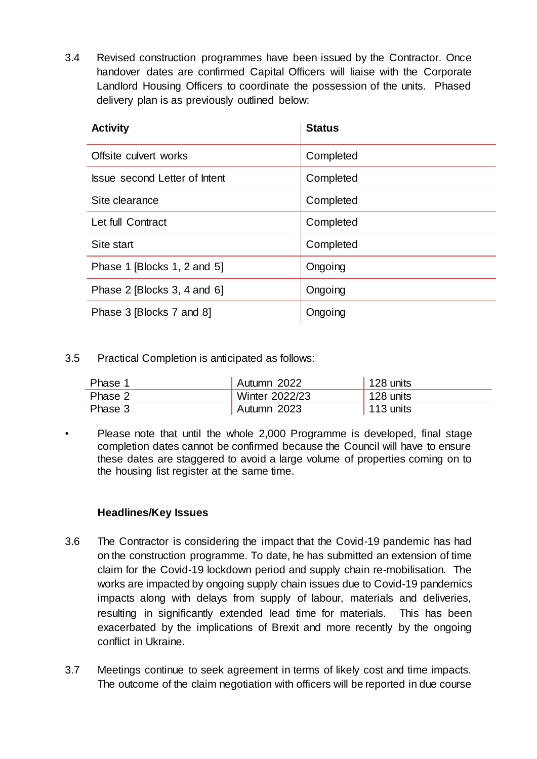3.4 Revised construction programmes have been issued by the Contractor. Once handover dates are confirmed Capital Officers will liaise with the Corporate Landlord Housing Officers to coordinate the possession of the units. Phased delivery plan is as previously outlined below:

| <b>Activity</b>               | <b>Status</b> |
|-------------------------------|---------------|
| Offsite culvert works         | Completed     |
| Issue second Letter of Intent | Completed     |
| Site clearance                | Completed     |
| Let full Contract             | Completed     |
| Site start                    | Completed     |
| Phase 1 [Blocks 1, 2 and 5]   | Ongoing       |
| Phase 2 [Blocks 3, 4 and 6]   | Ongoing       |
| Phase 3 [Blocks 7 and 8]      | Ongoing       |

3.5 Practical Completion is anticipated as follows:

| Phase 1 | Autumn 2022    | $128$ units       |
|---------|----------------|-------------------|
| Phase 2 | Winter 2022/23 | 128 units         |
| Phase 3 | Autumn 2023    | $\vert$ 113 units |

• Please note that until the whole 2,000 Programme is developed, final stage completion dates cannot be confirmed because the Council will have to ensure these dates are staggered to avoid a large volume of properties coming on to the housing list register at the same time.

## **Headlines/Key Issues**

- 3.6 The Contractor is considering the impact that the Covid-19 pandemic has had on the construction programme. To date, he has submitted an extension of time claim for the Covid-19 lockdown period and supply chain re-mobilisation. The works are impacted by ongoing supply chain issues due to Covid-19 pandemics impacts along with delays from supply of labour, materials and deliveries, resulting in significantly extended lead time for materials. This has been exacerbated by the implications of Brexit and more recently by the ongoing conflict in Ukraine.
- 3.7 Meetings continue to seek agreement in terms of likely cost and time impacts. The outcome of the claim negotiation with officers will be reported in due course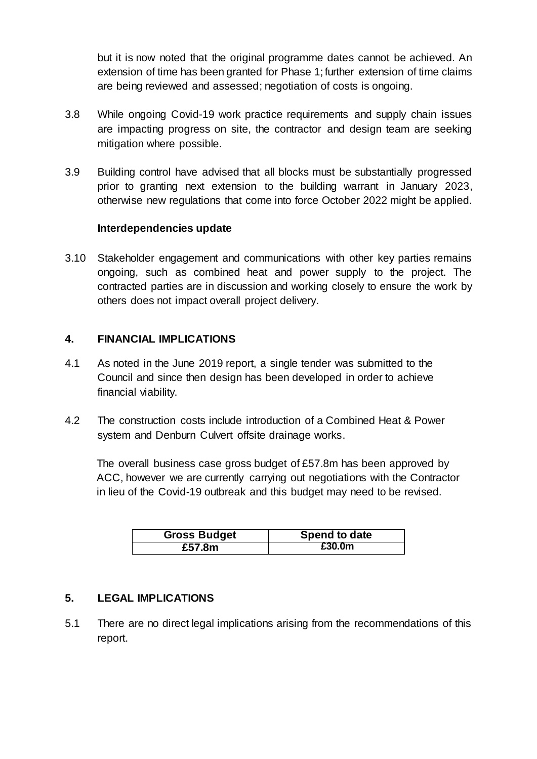but it is now noted that the original programme dates cannot be achieved. An extension of time has been granted for Phase 1; further extension of time claims are being reviewed and assessed; negotiation of costs is ongoing.

- 3.8 While ongoing Covid-19 work practice requirements and supply chain issues are impacting progress on site, the contractor and design team are seeking mitigation where possible.
- 3.9 Building control have advised that all blocks must be substantially progressed prior to granting next extension to the building warrant in January 2023, otherwise new regulations that come into force October 2022 might be applied.

#### **Interdependencies update**

3.10 Stakeholder engagement and communications with other key parties remains ongoing, such as combined heat and power supply to the project. The contracted parties are in discussion and working closely to ensure the work by others does not impact overall project delivery.

#### **4. FINANCIAL IMPLICATIONS**

- 4.1 As noted in the June 2019 report, a single tender was submitted to the Council and since then design has been developed in order to achieve financial viability.
- 4.2 The construction costs include introduction of a Combined Heat & Power system and Denburn Culvert offsite drainage works.

The overall business case gross budget of £57.8m has been approved by ACC, however we are currently carrying out negotiations with the Contractor in lieu of the Covid-19 outbreak and this budget may need to be revised.

| <b>Gross Budget</b> | Spend to date |
|---------------------|---------------|
| £57.8m              | £30.0m        |

## **5. LEGAL IMPLICATIONS**

5.1 There are no direct legal implications arising from the recommendations of this report.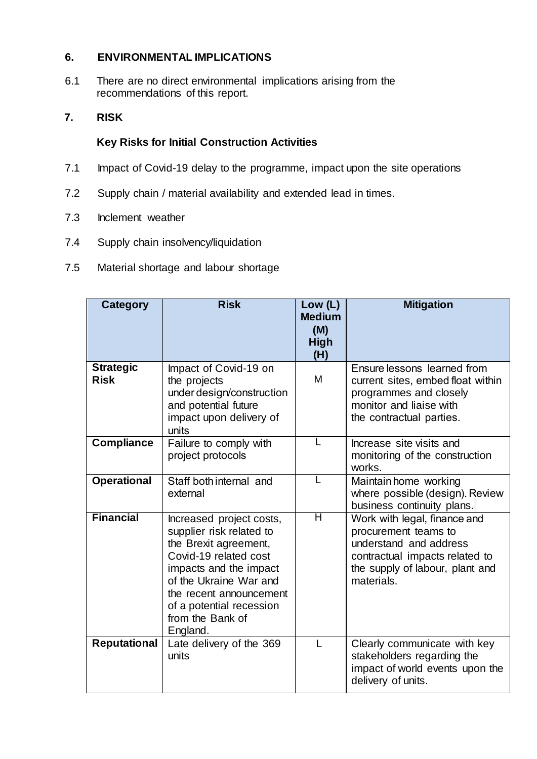## **6. ENVIRONMENTAL IMPLICATIONS**

6.1 There are no direct environmental implications arising from the recommendations of this report.

# **7. RISK**

## **Key Risks for Initial Construction Activities**

- 7.1 Impact of Covid-19 delay to the programme, impact upon the site operations
- 7.2 Supply chain / material availability and extended lead in times.
- 7.3 Inclement weather
- 7.4 Supply chain insolvency/liquidation
- 7.5 Material shortage and labour shortage

| <b>Category</b>                 | <b>Risk</b>                                                                                                                                                                                                                                       | Low (L)<br><b>Medium</b><br>(M)<br><b>High</b><br>(H) | <b>Mitigation</b>                                                                                                                                                 |
|---------------------------------|---------------------------------------------------------------------------------------------------------------------------------------------------------------------------------------------------------------------------------------------------|-------------------------------------------------------|-------------------------------------------------------------------------------------------------------------------------------------------------------------------|
| <b>Strategic</b><br><b>Risk</b> | Impact of Covid-19 on<br>the projects<br>under design/construction<br>and potential future<br>impact upon delivery of<br>units                                                                                                                    | M                                                     | Ensure lessons learned from<br>current sites, embed float within<br>programmes and closely<br>monitor and liaise with<br>the contractual parties.                 |
| <b>Compliance</b>               | Failure to comply with<br>project protocols                                                                                                                                                                                                       | L                                                     | Increase site visits and<br>monitoring of the construction<br>works.                                                                                              |
| <b>Operational</b>              | Staff both internal and<br>external                                                                                                                                                                                                               | L                                                     | Maintain home working<br>where possible (design). Review<br>business continuity plans.                                                                            |
| <b>Financial</b>                | Increased project costs,<br>supplier risk related to<br>the Brexit agreement,<br>Covid-19 related cost<br>impacts and the impact<br>of the Ukraine War and<br>the recent announcement<br>of a potential recession<br>from the Bank of<br>England. | Ή                                                     | Work with legal, finance and<br>procurement teams to<br>understand and address<br>contractual impacts related to<br>the supply of labour, plant and<br>materials. |
| <b>Reputational</b>             | Late delivery of the 369<br>units                                                                                                                                                                                                                 | L                                                     | Clearly communicate with key<br>stakeholders regarding the<br>impact of world events upon the<br>delivery of units.                                               |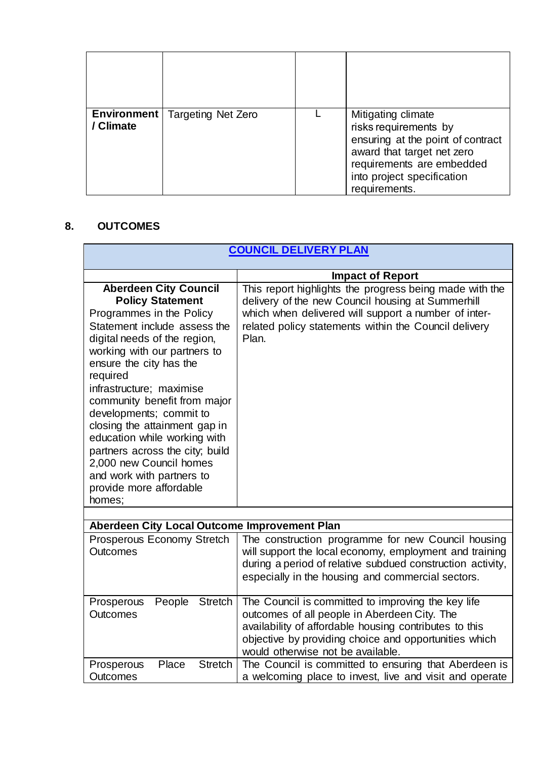| <b>Environment</b><br>/ Climate | <b>Targeting Net Zero</b> | Mitigating climate<br>risks requirements by<br>ensuring at the point of contract<br>award that target net zero<br>requirements are embedded<br>into project specification<br>requirements. |
|---------------------------------|---------------------------|--------------------------------------------------------------------------------------------------------------------------------------------------------------------------------------------|

# **8. OUTCOMES**

| <b>COUNCIL DELIVERY PLAN</b>                                                                                                                                                                                                                                                                                                                                                                                                                                                                                       |                                                                                                                                                                                                                                                            |  |
|--------------------------------------------------------------------------------------------------------------------------------------------------------------------------------------------------------------------------------------------------------------------------------------------------------------------------------------------------------------------------------------------------------------------------------------------------------------------------------------------------------------------|------------------------------------------------------------------------------------------------------------------------------------------------------------------------------------------------------------------------------------------------------------|--|
|                                                                                                                                                                                                                                                                                                                                                                                                                                                                                                                    |                                                                                                                                                                                                                                                            |  |
|                                                                                                                                                                                                                                                                                                                                                                                                                                                                                                                    | <b>Impact of Report</b>                                                                                                                                                                                                                                    |  |
| <b>Aberdeen City Council</b><br><b>Policy Statement</b><br>Programmes in the Policy<br>Statement include assess the<br>digital needs of the region,<br>working with our partners to<br>ensure the city has the<br>required<br>infrastructure; maximise<br>community benefit from major<br>developments; commit to<br>closing the attainment gap in<br>education while working with<br>partners across the city; build<br>2,000 new Council homes<br>and work with partners to<br>provide more affordable<br>homes; | This report highlights the progress being made with the<br>delivery of the new Council housing at Summerhill<br>which when delivered will support a number of inter-<br>related policy statements within the Council delivery<br>Plan.                     |  |
| Aberdeen City Local Outcome Improvement Plan                                                                                                                                                                                                                                                                                                                                                                                                                                                                       |                                                                                                                                                                                                                                                            |  |
| <b>Prosperous Economy Stretch</b><br><b>Outcomes</b>                                                                                                                                                                                                                                                                                                                                                                                                                                                               | The construction programme for new Council housing<br>will support the local economy, employment and training<br>during a period of relative subdued construction activity,<br>especially in the housing and commercial sectors.                           |  |
| <b>Stretch</b><br>People<br>Prosperous<br><b>Outcomes</b>                                                                                                                                                                                                                                                                                                                                                                                                                                                          | The Council is committed to improving the key life<br>outcomes of all people in Aberdeen City. The<br>availability of affordable housing contributes to this<br>objective by providing choice and opportunities which<br>would otherwise not be available. |  |
| Place<br><b>Stretch</b><br>Prosperous<br><b>Outcomes</b>                                                                                                                                                                                                                                                                                                                                                                                                                                                           | The Council is committed to ensuring that Aberdeen is<br>a welcoming place to invest, live and visit and operate                                                                                                                                           |  |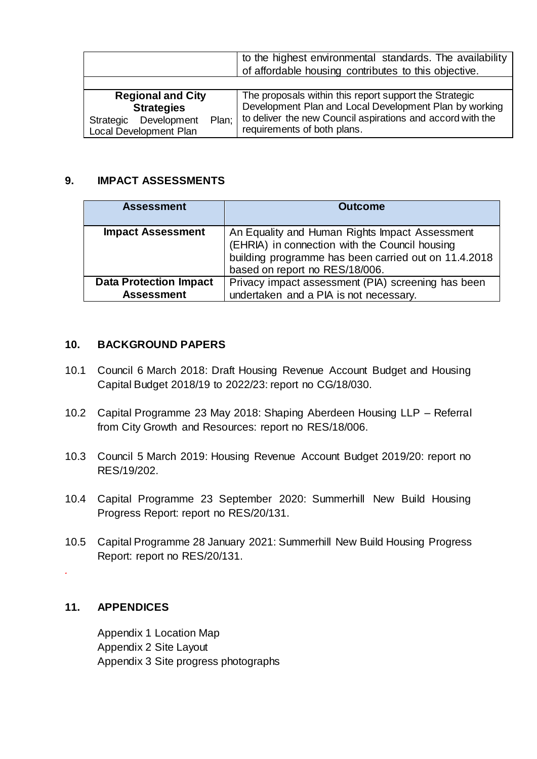|                                | to the highest environmental standards. The availability   |
|--------------------------------|------------------------------------------------------------|
|                                | of affordable housing contributes to this objective.       |
|                                |                                                            |
| <b>Regional and City</b>       | The proposals within this report support the Strategic     |
| <b>Strategies</b>              | Development Plan and Local Development Plan by working     |
| Plan:<br>Strategic Development | to deliver the new Council aspirations and accord with the |
| Local Development Plan         | requirements of both plans.                                |

#### **9. IMPACT ASSESSMENTS**

| <b>Assessment</b>             | <b>Outcome</b>                                                                                                                                                                             |
|-------------------------------|--------------------------------------------------------------------------------------------------------------------------------------------------------------------------------------------|
| <b>Impact Assessment</b>      | An Equality and Human Rights Impact Assessment<br>(EHRIA) in connection with the Council housing<br>building programme has been carried out on 11.4.2018<br>based on report no RES/18/006. |
| <b>Data Protection Impact</b> | Privacy impact assessment (PIA) screening has been                                                                                                                                         |
| <b>Assessment</b>             | undertaken and a PIA is not necessary.                                                                                                                                                     |

#### **10. BACKGROUND PAPERS**

- 10.1 Council 6 March 2018: Draft Housing Revenue Account Budget and Housing Capital Budget 2018/19 to 2022/23: report no CG/18/030.
- 10.2 Capital Programme 23 May 2018: Shaping Aberdeen Housing LLP Referral from City Growth and Resources: report no RES/18/006.
- 10.3 Council 5 March 2019: Housing Revenue Account Budget 2019/20: report no RES/19/202.
- 10.4 Capital Programme 23 September 2020: Summerhill New Build Housing Progress Report: report no RES/20/131.
- 10.5 Capital Programme 28 January 2021: Summerhill New Build Housing Progress Report: report no RES/20/131.

# **11. APPENDICES**

*.*

Appendix 1 Location Map Appendix 2 Site Layout Appendix 3 Site progress photographs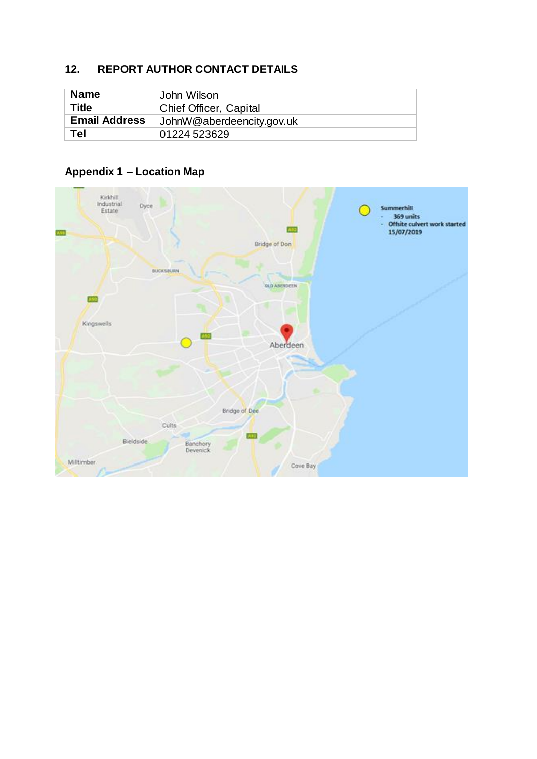# **12. REPORT AUTHOR CONTACT DETAILS**

| <b>Name</b>          | John Wilson               |
|----------------------|---------------------------|
| Title                | Chief Officer, Capital    |
| <b>Email Address</b> | JohnW@aberdeencity.gov.uk |
| Tel                  | 01224 523629              |

## **Appendix 1 – Location Map**

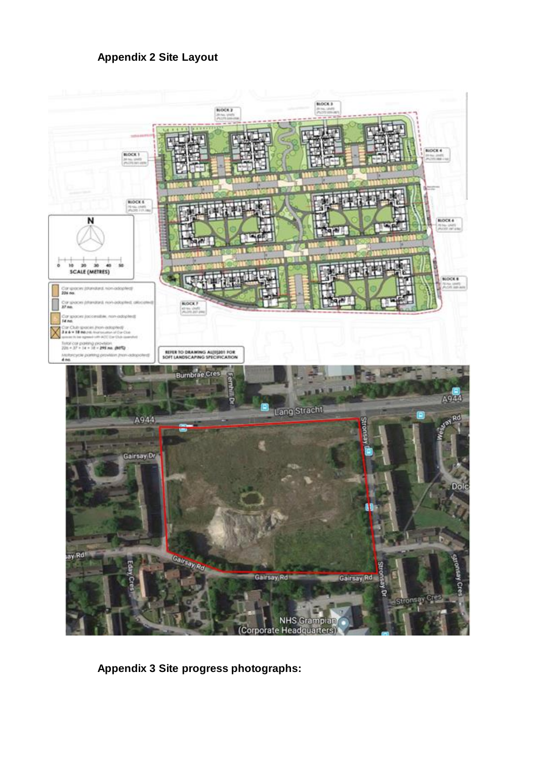

**Appendix 3 Site progress photographs:**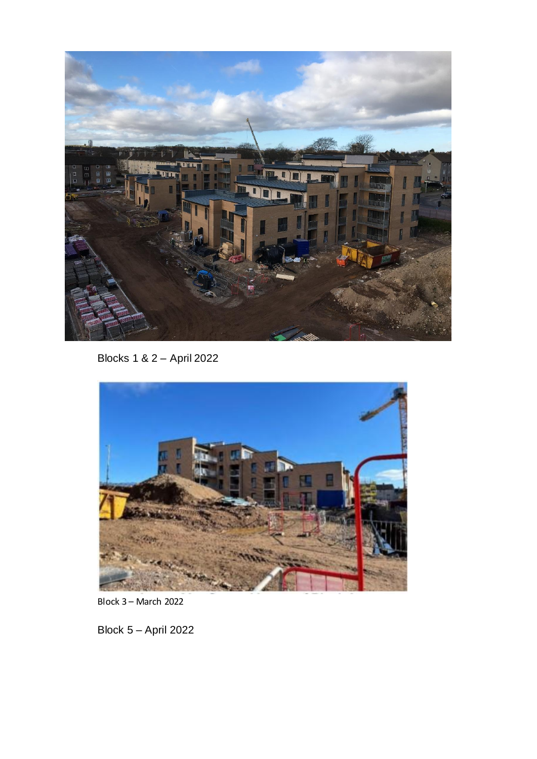

Blocks 1 & 2 – April 2022



Block 3 – March 2022

Block 5 – April 2022